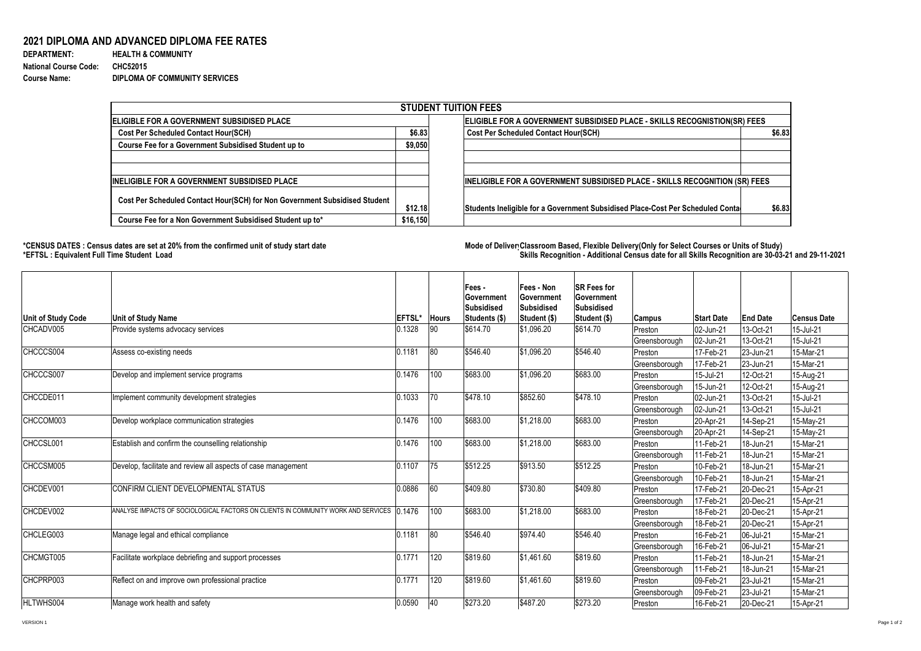## **2021 DIPLOMA AND ADVANCED DIPLOMA FEE RATES**

| <b>DEPARTMENT:</b>           |  |
|------------------------------|--|
| <b>National Course Code:</b> |  |
| <b>Course Name:</b>          |  |

**HEALTH & COMMUNITY National Course Code: CHC52015 DIPLOMA OF COMMUNITY SERVICES** 

## **\*CENSUS DATES : Census dates are set at 20% from the confirmed unit of study start date Mode of Delivery:Classroom Based, Flexible Delivery(Only for Select Courses or Units of Study) \*EFTSL : Equivalent Full Time Student Load Skills Recognition - Additional Census date for all Skills Recognition are 30-03-21 and 29-11-2021**



| <b>STUDENT TUITION FEES</b>                                                |                                                                           |                                                                                |        |  |  |  |  |  |  |
|----------------------------------------------------------------------------|---------------------------------------------------------------------------|--------------------------------------------------------------------------------|--------|--|--|--|--|--|--|
| <b>ELIGIBLE FOR A GOVERNMENT SUBSIDISED PLACE</b>                          | ELIGIBLE FOR A GOVERNMENT SUBSIDISED PLACE - SKILLS RECOGNISTION(SR) FEES |                                                                                |        |  |  |  |  |  |  |
| <b>Cost Per Scheduled Contact Hour(SCH)</b>                                | \$6.83                                                                    | <b>Cost Per Scheduled Contact Hour(SCH)</b>                                    | \$6.83 |  |  |  |  |  |  |
| <b>Course Fee for a Government Subsidised Student up to</b>                | \$9,050                                                                   |                                                                                |        |  |  |  |  |  |  |
|                                                                            |                                                                           |                                                                                |        |  |  |  |  |  |  |
|                                                                            |                                                                           |                                                                                |        |  |  |  |  |  |  |
| <b>INELIGIBLE FOR A GOVERNMENT SUBSIDISED PLACE</b>                        |                                                                           | INELIGIBLE FOR A GOVERNMENT SUBSIDISED PLACE - SKILLS RECOGNITION (SR) FEES    |        |  |  |  |  |  |  |
| Cost Per Scheduled Contact Hour(SCH) for Non Government Subsidised Student |                                                                           |                                                                                |        |  |  |  |  |  |  |
|                                                                            | \$12.18                                                                   | Students Ineligible for a Government Subsidised Place-Cost Per Scheduled Conta | \$6.83 |  |  |  |  |  |  |
| Course Fee for a Non Government Subsidised Student up to*                  | \$16,150                                                                  |                                                                                |        |  |  |  |  |  |  |

| Unit of Study Code | <b>Unit of Study Name</b>                                                                 | <b>EFTSL*</b> | <b>Hours</b> | <b>Fees-</b><br>∣Government<br><b>Subsidised</b><br>Students (\$) | <b>Fees - Non</b><br><b>Government</b><br><b>Subsidised</b><br>Student (\$) | <b>SR Fees for</b><br><b>Sovernment</b><br>Subsidised<br>Student (\$) | <b>Campus</b> | <b>Start Date</b> | <b>End Date</b> | <b>Census Date</b> |
|--------------------|-------------------------------------------------------------------------------------------|---------------|--------------|-------------------------------------------------------------------|-----------------------------------------------------------------------------|-----------------------------------------------------------------------|---------------|-------------------|-----------------|--------------------|
| CHCADV005          | Provide systems advocacy services                                                         | 0.1328        | 90           | \$614.70                                                          | \$1,096.20                                                                  | \$614.70                                                              | Preston       | 02-Jun-21         | 13-Oct-21       | 15-Jul-21          |
|                    |                                                                                           |               |              |                                                                   |                                                                             |                                                                       | Greensborough | 02-Jun-21         | 13-Oct-21       | 15-Jul-21          |
| CHCCCS004          | Assess co-existing needs                                                                  | 0.1181        | 80           | \$546.40                                                          | \$1,096.20                                                                  | \$546.40                                                              | Preston       | 17-Feb-21         | 23-Jun-21       | 15-Mar-21          |
|                    |                                                                                           |               |              |                                                                   |                                                                             |                                                                       | Greensborough | 17-Feb-21         | 23-Jun-21       | 15-Mar-21          |
| CHCCCS007          | Develop and implement service programs                                                    | 0.1476        | 100          | \$683.00                                                          | \$1,096.20                                                                  | \$683.00                                                              | Preston       | 15-Jul-21         | 12-Oct-21       | 15-Aug-21          |
|                    |                                                                                           |               |              |                                                                   |                                                                             |                                                                       | Greensborough | 15-Jun-21         | 12-Oct-21       | 15-Aug-21          |
| CHCCDE011          | Implement community development strategies                                                | 0.1033        | 70           | \$478.10                                                          | \$852.60                                                                    | \$478.10                                                              | Preston       | 02-Jun-21         | 13-Oct-21       | 15-Jul-21          |
|                    |                                                                                           |               |              |                                                                   |                                                                             |                                                                       | Greensborough | $ 02$ -Jun-21     | 13-Oct-21       | 15-Jul-21          |
| CHCCOM003          | Develop workplace communication strategies                                                | 0.1476        | 100          | \$683.00                                                          | \$1,218.00                                                                  | \$683.00                                                              | Preston       | $ 20 - Apr-21 $   | 14-Sep-21       | 15-May-21          |
|                    |                                                                                           |               |              |                                                                   |                                                                             |                                                                       | Greensborough | $ 20 - Apr-21 $   | 14-Sep-21       | 15-May-21          |
| CHCCSL001          | Establish and confirm the counselling relationship                                        | 0.1476        | 100          | \$683.00                                                          | \$1,218.00                                                                  | \$683.00                                                              | Preston       | 11-Feb-21         | 18-Jun-21       | 15-Mar-21          |
|                    |                                                                                           |               |              |                                                                   |                                                                             |                                                                       | Greensborough | 11-Feb-21         | 18-Jun-21       | 15-Mar-21          |
| CHCCSM005          | Develop, facilitate and review all aspects of case management                             | 0.1107        | 75           | \$512.25                                                          | \$913.50                                                                    | \$512.25                                                              | Preston       | 10-Feb-21         | 18-Jun-21       | 15-Mar-21          |
|                    |                                                                                           |               |              |                                                                   |                                                                             |                                                                       | Greensborough | 10-Feb-21         | 18-Jun-21       | 15-Mar-21          |
| CHCDEV001          | CONFIRM CLIENT DEVELOPMENTAL STATUS                                                       | 0.0886        | 60           | \$409.80                                                          | \$730.80                                                                    | \$409.80                                                              | Preston       | 17-Feb-21         | 20-Dec-21       | 15-Apr-21          |
|                    |                                                                                           |               |              |                                                                   |                                                                             |                                                                       | Greensborough | 17-Feb-21         | 20-Dec-21       | 15-Apr-21          |
| CHCDEV002          | ANALYSE IMPACTS OF SOCIOLOGICAL FACTORS ON CLIENTS IN COMMUNITY WORK AND SERVICES 10.1476 |               | 100          | \$683.00                                                          | \$1,218.00                                                                  | \$683.00                                                              | Preston       | 18-Feb-21         | 20-Dec-21       | 15-Apr-21          |
|                    |                                                                                           |               |              |                                                                   |                                                                             |                                                                       | Greensborough | 18-Feb-21         | 20-Dec-21       | 15-Apr-21          |
| CHCLEG003          | Manage legal and ethical compliance                                                       | 0.1181        | 80           | \$546.40                                                          | \$974.40                                                                    | \$546.40                                                              | Preston       | 16-Feb-21         | 06-Jul-21       | 15-Mar-21          |
|                    |                                                                                           |               |              |                                                                   |                                                                             |                                                                       | Greensborough | 16-Feb-21         | $ 06 - Ju - 21$ | 15-Mar-21          |
| CHCMGT005          | Facilitate workplace debriefing and support processes                                     | 0.1771        | 120          | \$819.60                                                          | \$1,461.60                                                                  | \$819.60                                                              | Preston       | 11-Feb-21         | 18-Jun-21       | 15-Mar-21          |
|                    |                                                                                           |               |              |                                                                   |                                                                             |                                                                       | Greensborough | 11-Feb-21         | 18-Jun-21       | 15-Mar-21          |
| CHCPRP003          | Reflect on and improve own professional practice                                          | 0.1771        | 120          | \$819.60                                                          | \$1,461.60                                                                  | \$819.60                                                              | Preston       | 09-Feb-21         | 23-Jul-21       | 15-Mar-21          |
|                    |                                                                                           |               |              |                                                                   |                                                                             |                                                                       | Greensborough | 09-Feb-21         | 23-Jul-21       | 15-Mar-21          |
| HLTWHS004          | Manage work health and safety                                                             | 0.0590        | 40           | \$273.20                                                          | \$487.20                                                                    | \$273.20                                                              | Preston       | 16-Feb-21         | $ 20 - Dec-21 $ | 15-Apr-21          |

VERSION 1 Page 1 of 2